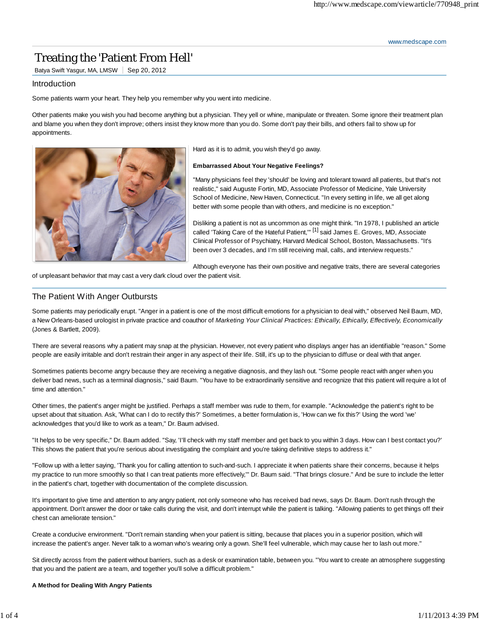www.medscape.com

# Treating the 'Patient From Hell'

Batya Swift Yasgur, MA, LMSW | Sep 20, 2012

# Introduction

Some patients warm your heart. They help you remember why you went into medicine.

Other patients make you wish you had become anything but a physician. They yell or whine, manipulate or threaten. Some ignore their treatment plan and blame you when they don't improve; others insist they know more than you do. Some don't pay their bills, and others fail to show up for appointments.



Hard as it is to admit, you wish they'd go away.

#### **Embarrassed About Your Negative Feelings?**

"Many physicians feel they 'should' be loving and tolerant toward all patients, but that's not realistic," said Auguste Fortin, MD, Associate Professor of Medicine, Yale University School of Medicine, New Haven, Connecticut. "In every setting in life, we all get along better with some people than with others, and medicine is no exception."

Disliking a patient is not as uncommon as one might think. "In 1978, I published an article called 'Taking Care of the Hateful Patient,'"<sup>[1]</sup> said James E. Groves, MD, Associate Clinical Professor of Psychiatry, Harvard Medical School, Boston, Massachusetts. "It's been over 3 decades, and I'm still receiving mail, calls, and interview requests."

Although everyone has their own positive and negative traits, there are several categories

of unpleasant behavior that may cast a very dark cloud over the patient visit.

# The Patient With Anger Outbursts

Some patients may periodically erupt. "Anger in a patient is one of the most difficult emotions for a physician to deal with," observed Neil Baum, MD, a New Orleans-based urologist in private practice and coauthor of *Marketing Your Clinical Practices: Ethically, Ethically, Effectively, Economically* (Jones & Bartlett, 2009).

There are several reasons why a patient may snap at the physician. However, not every patient who displays anger has an identifiable "reason." Some people are easily irritable and don't restrain their anger in any aspect of their life. Still, it's up to the physician to diffuse or deal with that anger.

Sometimes patients become angry because they are receiving a negative diagnosis, and they lash out. "Some people react with anger when you deliver bad news, such as a terminal diagnosis," said Baum. "You have to be extraordinarily sensitive and recognize that this patient will require a lot of time and attention."

Other times, the patient's anger might be justified. Perhaps a staff member was rude to them, for example. "Acknowledge the patient's right to be upset about that situation. Ask, 'What can I do to rectify this?' Sometimes, a better formulation is, 'How can we fix this?' Using the word 'we' acknowledges that you'd like to work as a team," Dr. Baum advised.

"It helps to be very specific," Dr. Baum added. "Say, 'I'll check with my staff member and get back to you within 3 days. How can I best contact you?' This shows the patient that you're serious about investigating the complaint and you're taking definitive steps to address it."

"Follow up with a letter saying, 'Thank you for calling attention to such-and-such. I appreciate it when patients share their concerns, because it helps my practice to run more smoothly so that I can treat patients more effectively,'" Dr. Baum said. "That brings closure." And be sure to include the letter in the patient's chart, together with documentation of the complete discussion.

It's important to give time and attention to any angry patient, not only someone who has received bad news, says Dr. Baum. Don't rush through the appointment. Don't answer the door or take calls during the visit, and don't interrupt while the patient is talking. "Allowing patients to get things off their chest can ameliorate tension."

Create a conducive environment. "Don't remain standing when your patient is sitting, because that places you in a superior position, which will increase the patient's anger. Never talk to a woman who's wearing only a gown. She'll feel vulnerable, which may cause her to lash out more."

Sit directly across from the patient without barriers, such as a desk or examination table, between you. "You want to create an atmosphere suggesting that you and the patient are a team, and together you'll solve a difficult problem."

#### **A Method for Dealing With Angry Patients**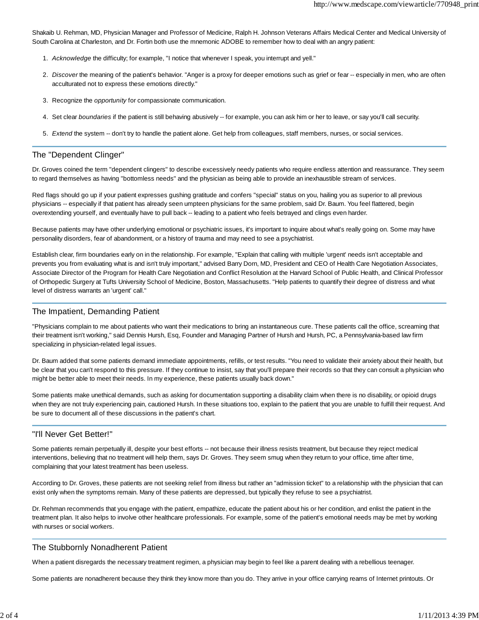Shakaib U. Rehman, MD, Physician Manager and Professor of Medicine, Ralph H. Johnson Veterans Affairs Medical Center and Medical University of South Carolina at Charleston, and Dr. Fortin both use the mnemonic ADOBE to remember how to deal with an angry patient:

- 1. *Acknowledge* the difficulty; for example, "I notice that whenever I speak, you interrupt and yell."
- 2. Discover the meaning of the patient's behavior. "Anger is a proxy for deeper emotions such as grief or fear -- especially in men, who are often acculturated not to express these emotions directly."
- 3. Recognize the *opportunity* for compassionate communication.
- 4. Set clear *boundaries* if the patient is still behaving abusively -- for example, you can ask him or her to leave, or say you'll call security.
- 5. *Extend* the system -- don't try to handle the patient alone. Get help from colleagues, staff members, nurses, or social services.

## The "Dependent Clinger"

Dr. Groves coined the term "dependent clingers" to describe excessively needy patients who require endless attention and reassurance. They seem to regard themselves as having "bottomless needs" and the physician as being able to provide an inexhaustible stream of services.

Red flags should go up if your patient expresses gushing gratitude and confers "special" status on you, hailing you as superior to all previous physicians -- especially if that patient has already seen umpteen physicians for the same problem, said Dr. Baum. You feel flattered, begin overextending yourself, and eventually have to pull back -- leading to a patient who feels betrayed and clings even harder.

Because patients may have other underlying emotional or psychiatric issues, it's important to inquire about what's really going on. Some may have personality disorders, fear of abandonment, or a history of trauma and may need to see a psychiatrist.

Establish clear, firm boundaries early on in the relationship. For example, "Explain that calling with multiple 'urgent' needs isn't acceptable and prevents you from evaluating what is and isn't truly important," advised Barry Dorn, MD, President and CEO of Health Care Negotiation Associates, Associate Director of the Program for Health Care Negotiation and Conflict Resolution at the Harvard School of Public Health, and Clinical Professor of Orthopedic Surgery at Tufts University School of Medicine, Boston, Massachusetts. "Help patients to quantify their degree of distress and what level of distress warrants an 'urgent' call."

# The Impatient, Demanding Patient

"Physicians complain to me about patients who want their medications to bring an instantaneous cure. These patients call the office, screaming that their treatment isn't working," said Dennis Hursh, Esq, Founder and Managing Partner of Hursh and Hursh, PC, a Pennsylvania-based law firm specializing in physician-related legal issues.

Dr. Baum added that some patients demand immediate appointments, refills, or test results. "You need to validate their anxiety about their health, but be clear that you can't respond to this pressure. If they continue to insist, say that you'll prepare their records so that they can consult a physician who might be better able to meet their needs. In my experience, these patients usually back down."

Some patients make unethical demands, such as asking for documentation supporting a disability claim when there is no disability, or opioid drugs when they are not truly experiencing pain, cautioned Hursh. In these situations too, explain to the patient that you are unable to fulfill their request. And be sure to document all of these discussions in the patient's chart.

# "I'll Never Get Better!"

Some patients remain perpetually ill, despite your best efforts -- not because their illness resists treatment, but because they reject medical interventions, believing that no treatment will help them, says Dr. Groves. They seem smug when they return to your office, time after time, complaining that your latest treatment has been useless.

According to Dr. Groves, these patients are not seeking relief from illness but rather an "admission ticket" to a relationship with the physician that can exist only when the symptoms remain. Many of these patients are depressed, but typically they refuse to see a psychiatrist.

Dr. Rehman recommends that you engage with the patient, empathize, educate the patient about his or her condition, and enlist the patient in the treatment plan. It also helps to involve other healthcare professionals. For example, some of the patient's emotional needs may be met by working with nurses or social workers.

# The Stubbornly Nonadherent Patient

When a patient disregards the necessary treatment regimen, a physician may begin to feel like a parent dealing with a rebellious teenager.

Some patients are nonadherent because they think they know more than you do. They arrive in your office carrying reams of Internet printouts. Or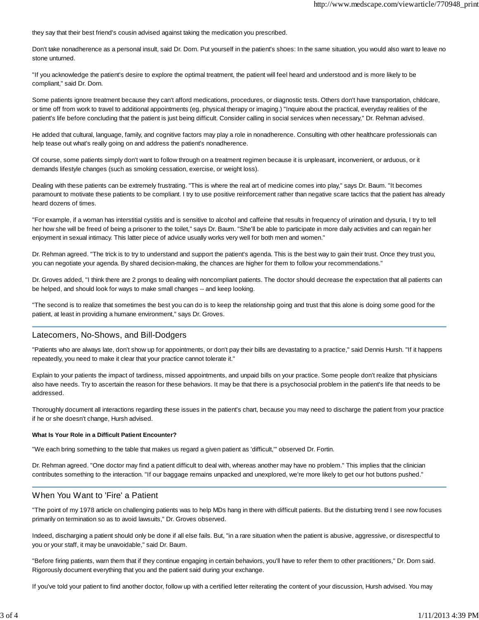they say that their best friend's cousin advised against taking the medication you prescribed.

Don't take nonadherence as a personal insult, said Dr. Dorn. Put yourself in the patient's shoes: In the same situation, you would also want to leave no stone unturned.

"If you acknowledge the patient's desire to explore the optimal treatment, the patient will feel heard and understood and is more likely to be compliant," said Dr. Dorn.

Some patients ignore treatment because they can't afford medications, procedures, or diagnostic tests. Others don't have transportation, childcare, or time off from work to travel to additional appointments (eg, physical therapy or imaging.) "Inquire about the practical, everyday realities of the patient's life before concluding that the patient is just being difficult. Consider calling in social services when necessary," Dr. Rehman advised.

He added that cultural, language, family, and cognitive factors may play a role in nonadherence. Consulting with other healthcare professionals can help tease out what's really going on and address the patient's nonadherence.

Of course, some patients simply don't want to follow through on a treatment regimen because it is unpleasant, inconvenient, or arduous, or it demands lifestyle changes (such as smoking cessation, exercise, or weight loss).

Dealing with these patients can be extremely frustrating. "This is where the real art of medicine comes into play," says Dr. Baum. "It becomes paramount to motivate these patients to be compliant. I try to use positive reinforcement rather than negative scare tactics that the patient has already heard dozens of times.

"For example, if a woman has interstitial cystitis and is sensitive to alcohol and caffeine that results in frequency of urination and dysuria, I try to tell her how she will be freed of being a prisoner to the toilet," says Dr. Baum. "She'll be able to participate in more daily activities and can regain her enjoyment in sexual intimacy. This latter piece of advice usually works very well for both men and women."

Dr. Rehman agreed. "The trick is to try to understand and support the patient's agenda. This is the best way to gain their trust. Once they trust you, you can negotiate your agenda. By shared decision-making, the chances are higher for them to follow your recommendations."

Dr. Groves added, "I think there are 2 prongs to dealing with noncompliant patients. The doctor should decrease the expectation that all patients can be helped, and should look for ways to make small changes -- and keep looking.

"The second is to realize that sometimes the best you can do is to keep the relationship going and trust that this alone is doing some good for the patient, at least in providing a humane environment," says Dr. Groves.

#### Latecomers, No-Shows, and Bill-Dodgers

"Patients who are always late, don't show up for appointments, or don't pay their bills are devastating to a practice," said Dennis Hursh. "If it happens repeatedly, you need to make it clear that your practice cannot tolerate it."

Explain to your patients the impact of tardiness, missed appointments, and unpaid bills on your practice. Some people don't realize that physicians also have needs. Try to ascertain the reason for these behaviors. It may be that there is a psychosocial problem in the patient's life that needs to be addressed.

Thoroughly document all interactions regarding these issues in the patient's chart, because you may need to discharge the patient from your practice if he or she doesn't change, Hursh advised.

#### **What Is Your Role in a Difficult Patient Encounter?**

"We each bring something to the table that makes us regard a given patient as 'difficult,'" observed Dr. Fortin.

Dr. Rehman agreed. "One doctor may find a patient difficult to deal with, whereas another may have no problem." This implies that the clinician contributes something to the interaction. "If our baggage remains unpacked and unexplored, we're more likely to get our hot buttons pushed."

#### When You Want to 'Fire' a Patient

"The point of my 1978 article on challenging patients was to help MDs hang in there with difficult patients. But the disturbing trend I see now focuses primarily on termination so as to avoid lawsuits," Dr. Groves observed.

Indeed, discharging a patient should only be done if all else fails. But, "in a rare situation when the patient is abusive, aggressive, or disrespectful to you or your staff, it may be unavoidable," said Dr. Baum.

"Before firing patients, warn them that if they continue engaging in certain behaviors, you'll have to refer them to other practitioners," Dr. Dorn said. Rigorously document everything that you and the patient said during your exchange.

If you've told your patient to find another doctor, follow up with a certified letter reiterating the content of your discussion, Hursh advised. You may